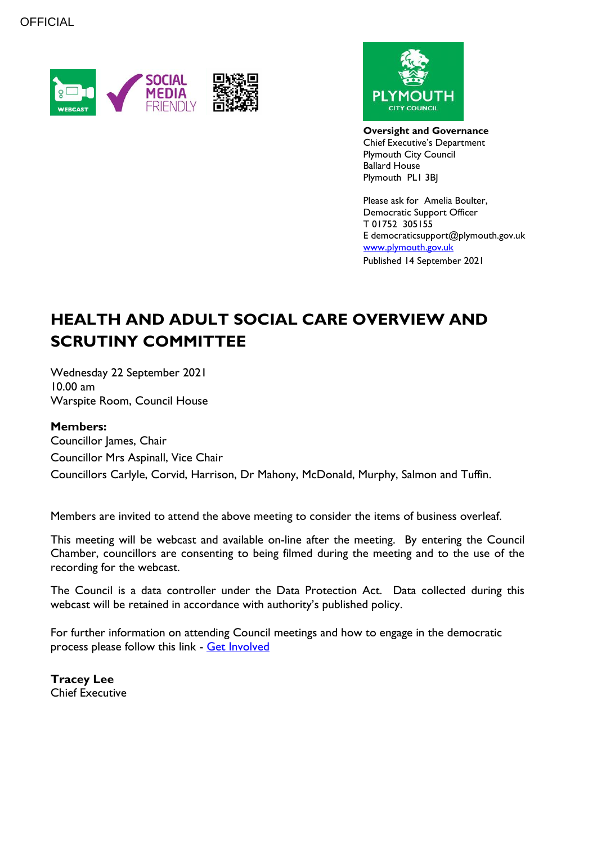



**Oversight and Governance** Chief Executive's Department Plymouth City Council Ballard House Plymouth PL1 3BJ

Please ask for Amelia Boulter, Democratic Support Officer T 01752 305155 E democraticsupport@plymouth.gov.uk [www.plymouth.gov.uk](https://www.plymouth.gov.uk/councillorscommitteesandmeetings) Published 14 September 2021

# **HEALTH AND ADULT SOCIAL CARE OVERVIEW AND SCRUTINY COMMITTEE**

Wednesday 22 September 2021 10.00 am Warspite Room, Council House

#### **Members:**

Councillor James, Chair Councillor Mrs Aspinall, Vice Chair Councillors Carlyle, Corvid, Harrison, Dr Mahony, McDonald, Murphy, Salmon and Tuffin.

Members are invited to attend the above meeting to consider the items of business overleaf.

This meeting will be webcast and available on-line after the meeting. By entering the Council Chamber, councillors are consenting to being filmed during the meeting and to the use of the recording for the webcast.

The Council is a data controller under the Data Protection Act. Data collected during this webcast will be retained in accordance with authority's published policy.

For further information on attending Council meetings and how to engage in the democratic process please follow this link - [Get Involved](https://www.plymouth.gov.uk/councillorscommitteesandmeetings/getinvolved)

**Tracey Lee** Chief Executive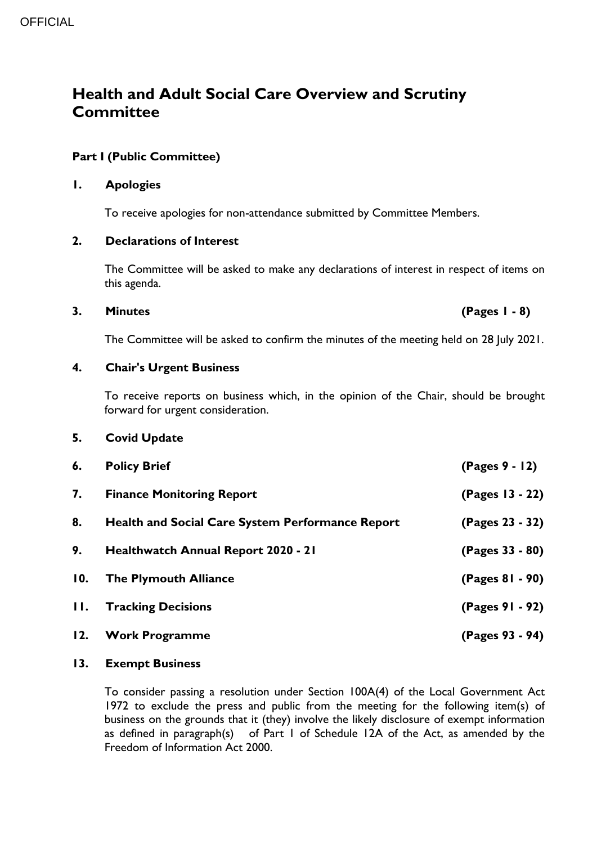# **Health and Adult Social Care Overview and Scrutiny Committee**

### **Part I (Public Committee)**

#### **1. Apologies**

To receive apologies for non-attendance submitted by Committee Members.

#### **2. Declarations of Interest**

The Committee will be asked to make any declarations of interest in respect of items on this agenda.

#### **3. Minutes (Pages 1 - 8)**

The Committee will be asked to confirm the minutes of the meeting held on 28 July 2021.

#### **4. Chair's Urgent Business**

To receive reports on business which, in the opinion of the Chair, should be brought forward for urgent consideration.

#### **5. Covid Update**

| 6.            | <b>Policy Brief</b>                                     | $(Pages 9 - 12)$ |
|---------------|---------------------------------------------------------|------------------|
| 7.            | <b>Finance Monitoring Report</b>                        | (Pages 13 - 22)  |
| 8.            | <b>Health and Social Care System Performance Report</b> | (Pages 23 - 32)  |
| 9.            | Healthwatch Annual Report 2020 - 21                     | (Pages 33 - 80)  |
| 10.           | <b>The Plymouth Alliance</b>                            | (Pages 81 - 90)  |
| $H_{\bullet}$ | <b>Tracking Decisions</b>                               | (Pages 91 - 92)  |
| 12.           | <b>Work Programme</b>                                   | (Pages 93 - 94)  |

#### **13. Exempt Business**

To consider passing a resolution under Section 100A(4) of the Local Government Act 1972 to exclude the press and public from the meeting for the following item(s) of business on the grounds that it (they) involve the likely disclosure of exempt information as defined in paragraph(s) of Part 1 of Schedule 12A of the Act, as amended by the Freedom of Information Act 2000.